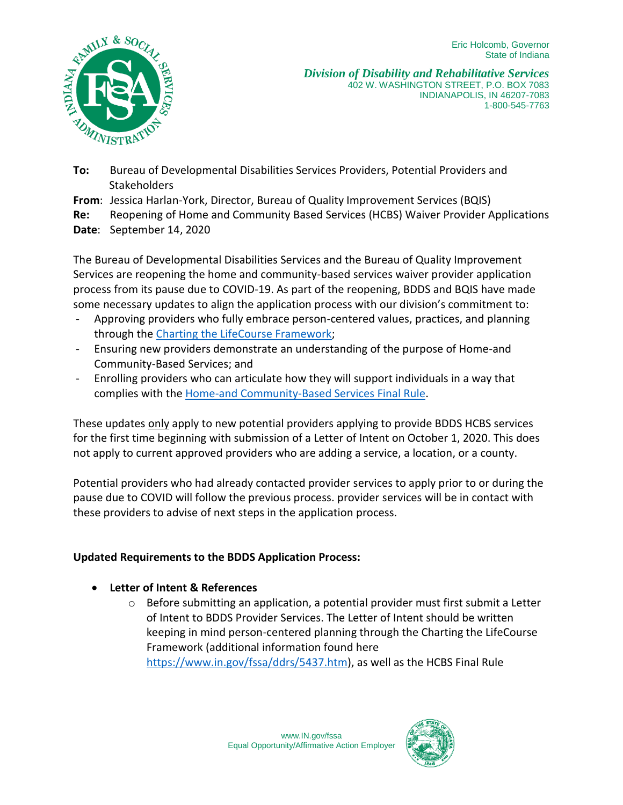

*Division of Disability and Rehabilitative Services* 402 W. WASHINGTON STREET, P.O. BOX 7083 INDIANAPOLIS, IN 46207-7083 1-800-545-7763

- **To:** Bureau of Developmental Disabilities Services Providers, Potential Providers and **Stakeholders**
- **From**: Jessica Harlan-York, Director, Bureau of Quality Improvement Services (BQIS)
- **Re:** Reopening of Home and Community Based Services (HCBS) Waiver Provider Applications
- **Date**: September 14, 2020

The Bureau of Developmental Disabilities Services and the Bureau of Quality Improvement Services are reopening the home and community-based services waiver provider application process from its pause due to COVID-19. As part of the reopening, BDDS and BQIS have made some necessary updates to align the application process with our division's commitment to:

- Approving providers who fully embrace person-centered values, practices, and planning through the [Charting the LifeCourse Framework;](https://www.lifecoursetools.com/)
- Ensuring new providers demonstrate an understanding of the purpose of Home-and Community-Based Services; and
- Enrolling providers who can articulate how they will support individuals in a way that complies with the [Home-and Community-Based Services Final Rule.](https://www.medicaid.gov/medicaid/home-community-based-services/guidance/home-community-based-services-final-regulation/index.html)

These updates only apply to new potential providers applying to provide BDDS HCBS services for the first time beginning with submission of a Letter of Intent on October 1, 2020. This does not apply to current approved providers who are adding a service, a location, or a county.

Potential providers who had already contacted provider services to apply prior to or during the pause due to COVID will follow the previous process. provider services will be in contact with these providers to advise of next steps in the application process.

## **Updated Requirements to the BDDS Application Process:**

## **Letter of Intent & References**

 $\circ$  Before submitting an application, a potential provider must first submit a Letter of Intent to BDDS Provider Services. The Letter of Intent should be written keeping in mind person-centered planning through the Charting the LifeCourse Framework (additional information found here [https://www.in.gov/fssa/ddrs/5437.htm\)](https://www.in.gov/fssa/ddrs/5437.htm), as well as the HCBS Final Rule

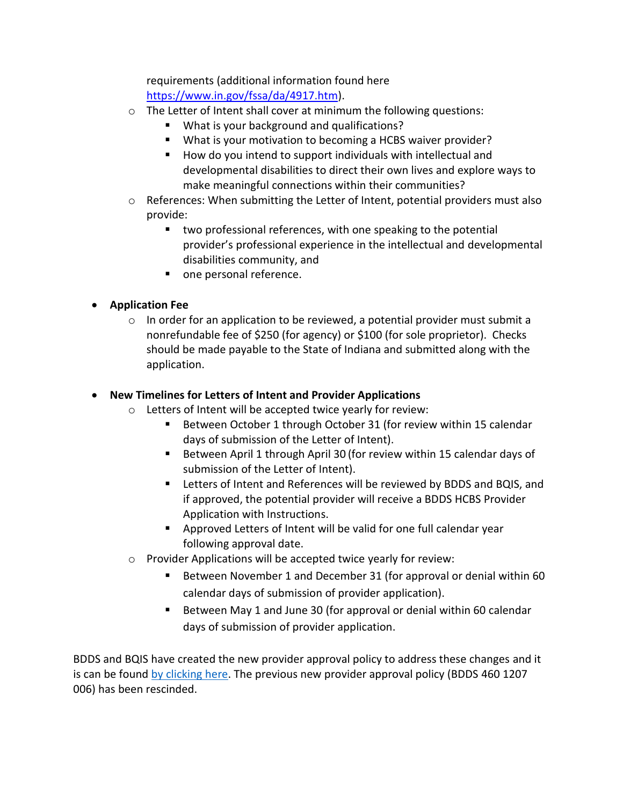requirements (additional information found here [https://www.in.gov/fssa/da/4917.htm\)](https://www.in.gov/fssa/da/4917.htm).

- o The Letter of Intent shall cover at minimum the following questions:
	- What is your background and qualifications?
	- What is your motivation to becoming a HCBS waiver provider?
	- $\blacksquare$  How do you intend to support individuals with intellectual and developmental disabilities to direct their own lives and explore ways to make meaningful connections within their communities?
- $\circ$  References: When submitting the Letter of Intent, potential providers must also provide:
	- **two professional references, with one speaking to the potential** provider's professional experience in the intellectual and developmental disabilities community, and
	- **n** one personal reference.

## **Application Fee**

 $\circ$  In order for an application to be reviewed, a potential provider must submit a nonrefundable fee of \$250 (for agency) or \$100 (for sole proprietor). Checks should be made payable to the State of Indiana and submitted along with the application.

## **New Timelines for Letters of Intent and Provider Applications**

- o Letters of Intent will be accepted twice yearly for review:
	- Between October 1 through October 31 (for review within 15 calendar days of submission of the Letter of Intent).
	- Between April 1 through April 30 (for review within 15 calendar days of submission of the Letter of Intent).
	- Letters of Intent and References will be reviewed by BDDS and BQIS, and if approved, the potential provider will receive a BDDS HCBS Provider Application with Instructions.
	- Approved Letters of Intent will be valid for one full calendar year following approval date.
- o Provider Applications will be accepted twice yearly for review:
	- Between November 1 and December 31 (for approval or denial within 60 calendar days of submission of provider application).
	- Between May 1 and June 30 (for approval or denial within 60 calendar days of submission of provider application.

BDDS and BQIS have created the new provider approval policy to address these changes and it is can be found [by clicking here.](https://www.in.gov/fssa/ddrs/files/New_Provider_Approval.pdf) The previous new provider approval policy (BDDS 460 1207 006) has been rescinded.